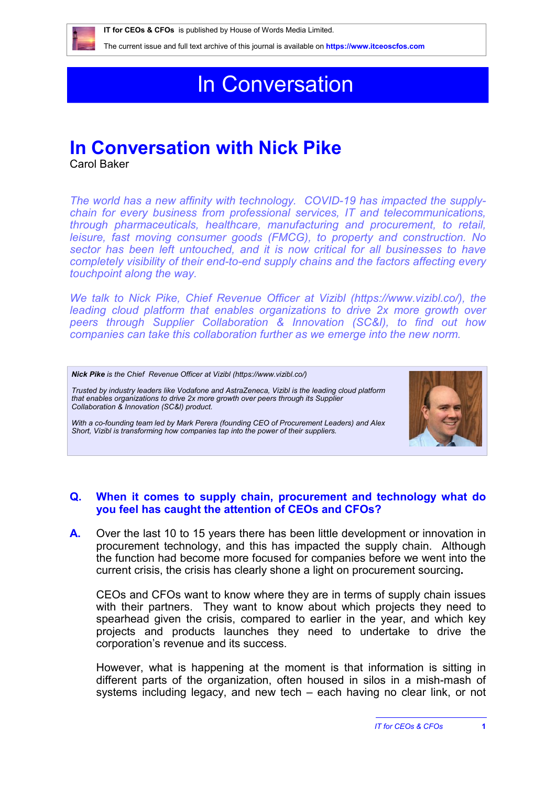

 **IT for CEOs & CFOs** is published by House of Words Media Limited.

The current issue and full text archive of this journal is available on **<https://www.itceoscfos.com>** 

# In Conversation

## **In Conversation with Nick Pike**

Carol Baker

*The world has a new affinity with technology. COVID-19 has impacted the supplychain for every business from professional services, IT and telecommunications, through pharmaceuticals, healthcare, manufacturing and procurement, to retail, leisure, fast moving consumer goods (FMCG), to property and construction. No sector has been left untouched, and it is now critical for all businesses to have completely visibility of their end-to-end supply chains and the factors affecting every touchpoint along the way.* 

*We talk to Nick Pike, Chief Revenue Officer at Vizibl [\(https://www.vizibl.co/\)](https://www.vizibl.co/), the leading cloud platform that enables organizations to drive 2x more growth over peers through Supplier Collaboration & Innovation (SC&I), to find out how companies can take this collaboration further as we emerge into the new norm.*

*Nick Pike is the Chief Revenue Officer at Vizibl [\(https://www.vizibl.co/\)](https://www.vizibl.co/)*

*Trusted by industry leaders like Vodafone and AstraZeneca, Vizibl is the leading cloud platform that enables organizations to drive 2x more growth over peers through its Supplier Collaboration & Innovation (SC&I) product.* 

*With a co-founding team led by Mark Perera (founding CEO of Procurement Leaders) and Alex Short, Vizibl is transforming how companies tap into the power of their suppliers.*



#### **Q. When it comes to supply chain, procurement and technology what do you feel has caught the attention of CEOs and CFOs?**

**A.** Over the last 10 to 15 years there has been little development or innovation in procurement technology, and this has impacted the supply chain. Although the function had become more focused for companies before we went into the current crisis, the crisis has clearly shone a light on procurement sourcing**.**

CEOs and CFOs want to know where they are in terms of supply chain issues with their partners. They want to know about which projects they need to spearhead given the crisis, compared to earlier in the year, and which key projects and products launches they need to undertake to drive the corporation's revenue and its success.

However, what is happening at the moment is that information is sitting in different parts of the organization, often housed in silos in a mish-mash of systems including legacy, and new tech – each having no clear link, or not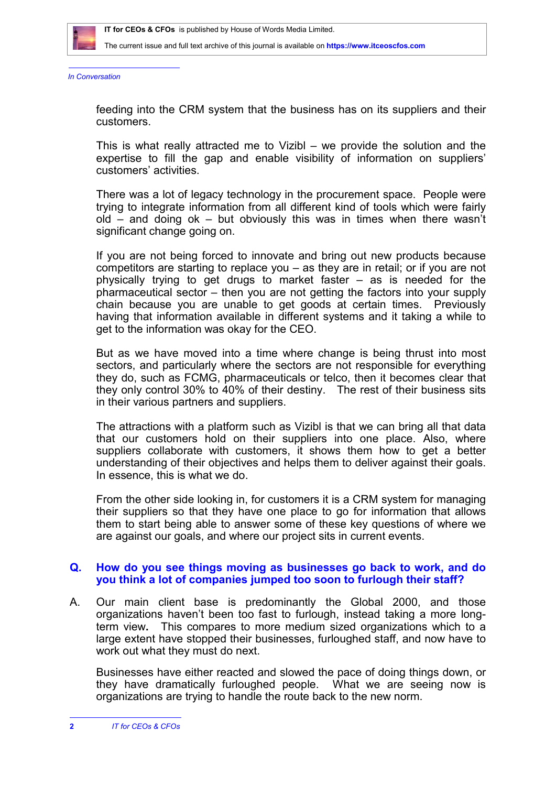

The current issue and full text archive of this journal is available on **<https://www.itceoscfos.com>** 

*In Conversation*

feeding into the CRM system that the business has on its suppliers and their customers.

This is what really attracted me to Vizibl – we provide the solution and the expertise to fill the gap and enable visibility of information on suppliers' customers' activities.

There was a lot of legacy technology in the procurement space. People were trying to integrate information from all different kind of tools which were fairly old – and doing ok – but obviously this was in times when there wasn't significant change going on.

If you are not being forced to innovate and bring out new products because competitors are starting to replace you – as they are in retail; or if you are not physically trying to get drugs to market faster – as is needed for the pharmaceutical sector – then you are not getting the factors into your supply chain because you are unable to get goods at certain times. Previously having that information available in different systems and it taking a while to get to the information was okay for the CEO.

But as we have moved into a time where change is being thrust into most sectors, and particularly where the sectors are not responsible for everything they do, such as FCMG, pharmaceuticals or telco, then it becomes clear that they only control 30% to 40% of their destiny. The rest of their business sits in their various partners and suppliers.

The attractions with a platform such as Vizibl is that we can bring all that data that our customers hold on their suppliers into one place. Also, where suppliers collaborate with customers, it shows them how to get a better understanding of their objectives and helps them to deliver against their goals. In essence, this is what we do.

From the other side looking in, for customers it is a CRM system for managing their suppliers so that they have one place to go for information that allows them to start being able to answer some of these key questions of where we are against our goals, and where our project sits in current events.

#### **Q. How do you see things moving as businesses go back to work, and do you think a lot of companies jumped too soon to furlough their staff?**

A. Our main client base is predominantly the Global 2000, and those organizations haven't been too fast to furlough, instead taking a more longterm view**.** This compares to more medium sized organizations which to a large extent have stopped their businesses, furloughed staff, and now have to work out what they must do next.

Businesses have either reacted and slowed the pace of doing things down, or they have dramatically furloughed people. What we are seeing now is organizations are trying to handle the route back to the new norm.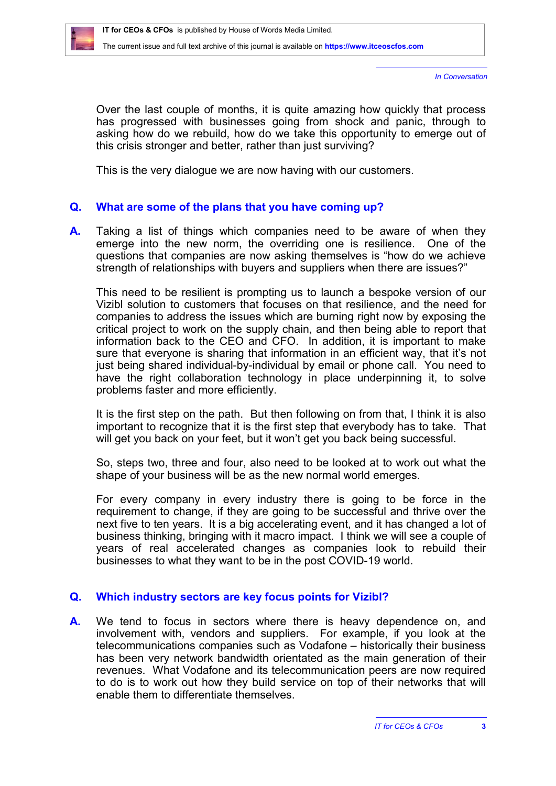*In Conversation*

Over the last couple of months, it is quite amazing how quickly that process has progressed with businesses going from shock and panic, through to asking how do we rebuild, how do we take this opportunity to emerge out of this crisis stronger and better, rather than just surviving?

This is the very dialogue we are now having with our customers.

## **Q. What are some of the plans that you have coming up?**

**A.** Taking a list of things which companies need to be aware of when they emerge into the new norm, the overriding one is resilience. One of the questions that companies are now asking themselves is "how do we achieve strength of relationships with buyers and suppliers when there are issues?"

This need to be resilient is prompting us to launch a bespoke version of our Vizibl solution to customers that focuses on that resilience, and the need for companies to address the issues which are burning right now by exposing the critical project to work on the supply chain, and then being able to report that information back to the CEO and CFO. In addition, it is important to make sure that everyone is sharing that information in an efficient way, that it's not just being shared individual-by-individual by email or phone call. You need to have the right collaboration technology in place underpinning it, to solve problems faster and more efficiently.

It is the first step on the path. But then following on from that, I think it is also important to recognize that it is the first step that everybody has to take. That will get you back on your feet, but it won't get you back being successful.

So, steps two, three and four, also need to be looked at to work out what the shape of your business will be as the new normal world emerges.

For every company in every industry there is going to be force in the requirement to change, if they are going to be successful and thrive over the next five to ten years. It is a big accelerating event, and it has changed a lot of business thinking, bringing with it macro impact. I think we will see a couple of years of real accelerated changes as companies look to rebuild their businesses to what they want to be in the post COVID-19 world.

### **Q. Which industry sectors are key focus points for Vizibl?**

**A.** We tend to focus in sectors where there is heavy dependence on, and involvement with, vendors and suppliers. For example, if you look at the telecommunications companies such as Vodafone – historically their business has been very network bandwidth orientated as the main generation of their revenues. What Vodafone and its telecommunication peers are now required to do is to work out how they build service on top of their networks that will enable them to differentiate themselves.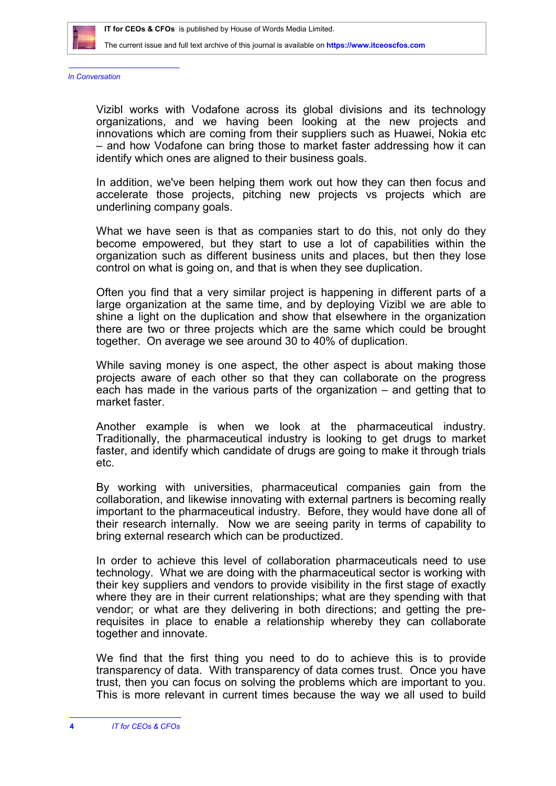

The current issue and full text archive of this journal is available on **<https://www.itceoscfos.com>** 

*In Conversation*

Vizibl works with Vodafone across its global divisions and its technology organizations, and we having been looking at the new projects and innovations which are coming from their suppliers such as Huawei, Nokia etc – and how Vodafone can bring those to market faster addressing how it can identify which ones are aligned to their business goals.

In addition, we've been helping them work out how they can then focus and accelerate those projects, pitching new projects vs projects which are underlining company goals.

What we have seen is that as companies start to do this, not only do they become empowered, but they start to use a lot of capabilities within the organization such as different business units and places, but then they lose control on what is going on, and that is when they see duplication.

Often you find that a very similar project is happening in different parts of a large organization at the same time, and by deploying Vizibl we are able to shine a light on the duplication and show that elsewhere in the organization there are two or three projects which are the same which could be brought together. On average we see around 30 to 40% of duplication.

While saving money is one aspect, the other aspect is about making those projects aware of each other so that they can collaborate on the progress each has made in the various parts of the organization – and getting that to market faster.

Another example is when we look at the pharmaceutical industry. Traditionally, the pharmaceutical industry is looking to get drugs to market faster, and identify which candidate of drugs are going to make it through trials etc.

By working with universities, pharmaceutical companies gain from the collaboration, and likewise innovating with external partners is becoming really important to the pharmaceutical industry. Before, they would have done all of their research internally. Now we are seeing parity in terms of capability to bring external research which can be productized.

In order to achieve this level of collaboration pharmaceuticals need to use technology. What we are doing with the pharmaceutical sector is working with their key suppliers and vendors to provide visibility in the first stage of exactly where they are in their current relationships; what are they spending with that vendor; or what are they delivering in both directions; and getting the prerequisites in place to enable a relationship whereby they can collaborate together and innovate.

We find that the first thing you need to do to achieve this is to provide transparency of data. With transparency of data comes trust. Once you have trust, then you can focus on solving the problems which are important to you. This is more relevant in current times because the way we all used to build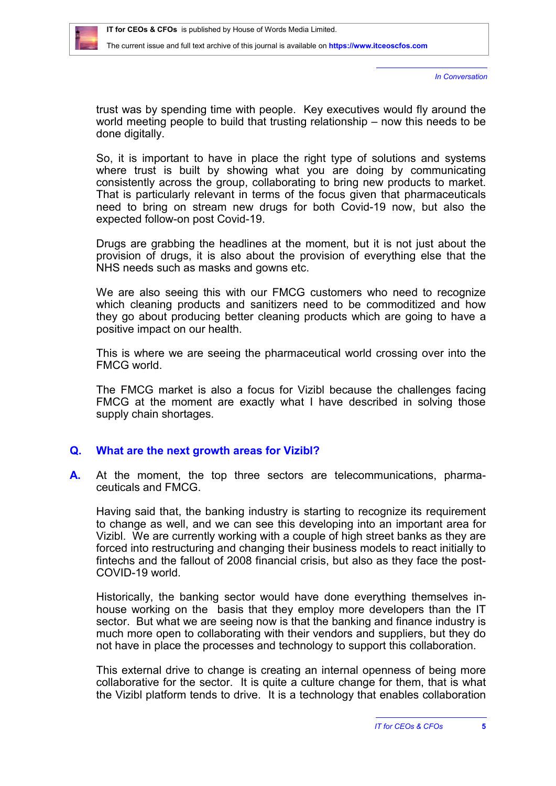

*In Conversation*

trust was by spending time with people. Key executives would fly around the world meeting people to build that trusting relationship – now this needs to be done digitally.

So, it is important to have in place the right type of solutions and systems where trust is built by showing what you are doing by communicating consistently across the group, collaborating to bring new products to market. That is particularly relevant in terms of the focus given that pharmaceuticals need to bring on stream new drugs for both Covid-19 now, but also the expected follow-on post Covid-19.

Drugs are grabbing the headlines at the moment, but it is not just about the provision of drugs, it is also about the provision of everything else that the NHS needs such as masks and gowns etc.

We are also seeing this with our FMCG customers who need to recognize which cleaning products and sanitizers need to be commoditized and how they go about producing better cleaning products which are going to have a positive impact on our health.

This is where we are seeing the pharmaceutical world crossing over into the FMCG world.

The FMCG market is also a focus for Vizibl because the challenges facing FMCG at the moment are exactly what I have described in solving those supply chain shortages.

#### **Q. What are the next growth areas for Vizibl?**

**A.** At the moment, the top three sectors are telecommunications, pharmaceuticals and FMCG.

Having said that, the banking industry is starting to recognize its requirement to change as well, and we can see this developing into an important area for Vizibl. We are currently working with a couple of high street banks as they are forced into restructuring and changing their business models to react initially to fintechs and the fallout of 2008 financial crisis, but also as they face the post-COVID-19 world.

Historically, the banking sector would have done everything themselves inhouse working on the basis that they employ more developers than the IT sector. But what we are seeing now is that the banking and finance industry is much more open to collaborating with their vendors and suppliers, but they do not have in place the processes and technology to support this collaboration.

This external drive to change is creating an internal openness of being more collaborative for the sector. It is quite a culture change for them, that is what the Vizibl platform tends to drive. It is a technology that enables collaboration